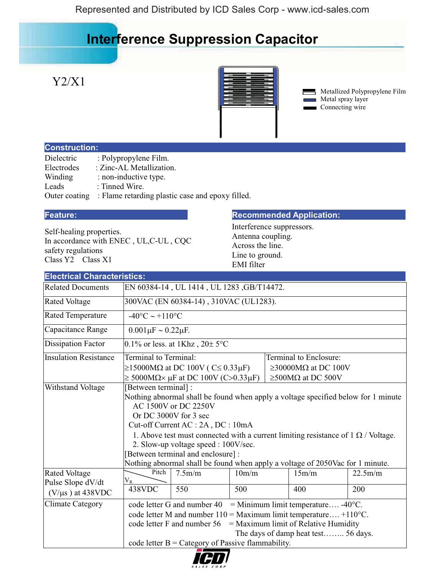## **Interference Suppression Capacitor**

## Y2/X1



Metallized Polypropylene Film Metal spray layer Connecting wire

### **Construction:**

| Dielectric    | : Polypropylene Film.                            |
|---------------|--------------------------------------------------|
| Electrodes    | : Zinc-AL Metallization.                         |
| Winding       | : non-inductive type.                            |
| Leads         | : Tinned Wire.                                   |
| Outer coating | : Flame retarding plastic case and epoxy filled. |

Self-healing properties. In accordance with ENEC , UL,C-UL , CQC safety regulations Class Y2 Class X1

#### **Feature: Recommended Application: Recommended Application:**

Interference suppressors. Antenna coupling. Across the line. Line to ground. EMI filter

| <b>Electrical Characteristics:</b>         |                                                                                                                                                                                                                                                                                                                                                                                                                                                             |                                                                |       |  |                                 |         |  |  |
|--------------------------------------------|-------------------------------------------------------------------------------------------------------------------------------------------------------------------------------------------------------------------------------------------------------------------------------------------------------------------------------------------------------------------------------------------------------------------------------------------------------------|----------------------------------------------------------------|-------|--|---------------------------------|---------|--|--|
| <b>Related Documents</b>                   |                                                                                                                                                                                                                                                                                                                                                                                                                                                             | EN 60384-14, UL 1414, UL 1283, GB/T14472.                      |       |  |                                 |         |  |  |
| <b>Rated Voltage</b>                       |                                                                                                                                                                                                                                                                                                                                                                                                                                                             | 300VAC (EN 60384-14), 310VAC (UL1283).                         |       |  |                                 |         |  |  |
| <b>Rated Temperature</b>                   |                                                                                                                                                                                                                                                                                                                                                                                                                                                             | $-40^{\circ}$ C ~ +110°C                                       |       |  |                                 |         |  |  |
| Capacitance Range                          | $0.001 \mu F \sim 0.22 \mu F$ .                                                                                                                                                                                                                                                                                                                                                                                                                             |                                                                |       |  |                                 |         |  |  |
| <b>Dissipation Factor</b>                  |                                                                                                                                                                                                                                                                                                                                                                                                                                                             | 0.1% or less. at 1Khz, $20 \pm 5$ °C                           |       |  |                                 |         |  |  |
| <b>Insulation Resistance</b>               | Terminal to Terminal:                                                                                                                                                                                                                                                                                                                                                                                                                                       |                                                                |       |  | Terminal to Enclosure:          |         |  |  |
|                                            |                                                                                                                                                                                                                                                                                                                                                                                                                                                             | $\geq$ 15000M $\Omega$ at DC 100V (C $\leq$ 0.33 $\mu$ F)      |       |  | $\geq$ 30000MΩ at DC 100V       |         |  |  |
|                                            |                                                                                                                                                                                                                                                                                                                                                                                                                                                             | $\geq$ 5000M $\Omega \times \mu$ F at DC 100V (C>0.33 $\mu$ F) |       |  | $\geq$ 500M $\Omega$ at DC 500V |         |  |  |
| Withstand Voltage                          | [Between terminal] :<br>Nothing abnormal shall be found when apply a voltage specified below for 1 minute<br>AC 1500V or DC 2250V<br>Or DC 3000V for 3 sec<br>Cut-off Current AC : 2A, DC : 10mA<br>1. Above test must connected with a current limiting resistance of $1 \Omega$ / Voltage.<br>2. Slow-up voltage speed : 100V/sec.<br>[Between terminal and enclosure] :<br>Nothing abnormal shall be found when apply a voltage of 2050Vac for 1 minute. |                                                                |       |  |                                 |         |  |  |
| <b>Rated Voltage</b>                       | Pitch<br>$\rm V_R$                                                                                                                                                                                                                                                                                                                                                                                                                                          | 7.5m/m                                                         | 10m/m |  | 15m/m                           | 22.5m/m |  |  |
| Pulse Slope dV/dt<br>$(V/\mu s)$ at 438VDC | 438VDC                                                                                                                                                                                                                                                                                                                                                                                                                                                      | 550                                                            | 500   |  | 400                             | 200     |  |  |
| <b>Climate Category</b>                    | = Minimum limit temperature -40 $^{\circ}$ C.<br>code letter G and number 40                                                                                                                                                                                                                                                                                                                                                                                |                                                                |       |  |                                 |         |  |  |
|                                            | code letter M and number $110 =$ Maximum limit temperature +110 $^{\circ}$ C.                                                                                                                                                                                                                                                                                                                                                                               |                                                                |       |  |                                 |         |  |  |
|                                            | code letter F and number $56 =$ Maximum limit of Relative Humidity                                                                                                                                                                                                                                                                                                                                                                                          |                                                                |       |  |                                 |         |  |  |
|                                            | The days of damp heat test 56 days.                                                                                                                                                                                                                                                                                                                                                                                                                         |                                                                |       |  |                                 |         |  |  |
|                                            |                                                                                                                                                                                                                                                                                                                                                                                                                                                             | code letter $B =$ Category of Passive flammability.            |       |  |                                 |         |  |  |